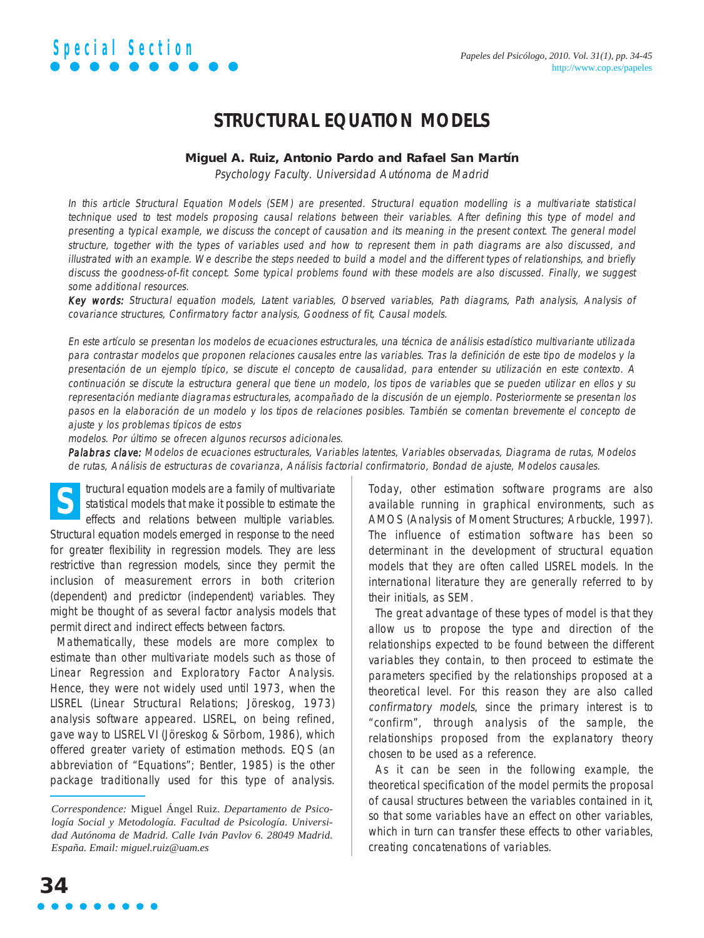# **STRUCTURAL EQUATION MODELS**

### **Miguel A. Ruiz, Antonio Pardo and Rafael San Martín**

Psychology Faculty. Universidad Autónoma de Madrid

In this article Structural Equation Models (SEM) are presented. Structural equation modelling is a multivariate statistical technique used to test models proposing causal relations between their variables. After defining this type of model and presenting a typical example, we discuss the concept of causation and its meaning in the present context. The general model structure, together with the types of variables used and how to represent them in path diagrams are also discussed, and illustrated with an example. We describe the steps needed to build a model and the different types of relationships, and briefly discuss the goodness-of-fit concept. Some typical problems found with these models are also discussed. Finally, we suggest some additional resources.

Key words: Structural equation models, Latent variables, Observed variables, Path diagrams, Path analysis, Analysis of covariance structures, Confirmatory factor analysis, Goodness of fit, Causal models.

En este artículo se presentan los modelos de ecuaciones estructurales, una técnica de análisis estadístico multivariante utilizada para contrastar modelos que proponen relaciones causales entre las variables. Tras la definición de este tipo de modelos y la presentación de un ejemplo típico, se discute el concepto de causalidad, para entender su utilización en este contexto. A continuación se discute la estructura general que tiene un modelo, los tipos de variables que se pueden utilizar en ellos y su representación mediante diagramas estructurales, acompañado de la discusión de un ejemplo. Posteriormente se presentan los pasos en la elaboración de un modelo y los tipos de relaciones posibles. También se comentan brevemente el concepto de ajuste y los problemas típicos de estos

modelos. Por último se ofrecen algunos recursos adicionales.

Palabras clave: Modelos de ecuaciones estructurales, Variables latentes, Variables observadas, Diagrama de rutas, Modelos de rutas, Análisis de estructuras de covarianza, Análisis factorial confirmatorio, Bondad de ajuste, Modelos causales.

tructural equation models are a family of multivariate statistical models that make it possible to estimate the effects and relations between multiple variables. Structural equation models emerged in response to the need for greater flexibility in regression models. They are less restrictive than regression models, since they permit the inclusion of measurement errors in both criterion (dependent) and predictor (independent) variables. They might be thought of as several factor analysis models that permit direct and indirect effects between factors. **S**

Mathematically, these models are more complex to estimate than other multivariate models such as those of Linear Regression and Exploratory Factor Analysis. Hence, they were not widely used until 1973, when the LISREL (Linear Structural Relations; Jöreskog, 1973) analysis software appeared. LISREL, on being refined, gave way to LISREL VI (Jöreskog & Sörbom, 1986), which offered greater variety of estimation methods. EQS (an abbreviation of "Equations"; Bentler, 1985) is the other package traditionally used for this type of analysis. Today, other estimation software programs are also available running in graphical environments, such as AMOS (Analysis of Moment Structures; Arbuckle, 1997). The influence of estimation software has been so determinant in the development of structural equation models that they are often called LISREL models. In the international literature they are generally referred to by their initials, as SEM.

The great advantage of these types of model is that they allow us to propose the type and direction of the relationships expected to be found between the different variables they contain, to then proceed to estimate the parameters specified by the relationships proposed at a theoretical level. For this reason they are also called confirmatory models, since the primary interest is to "confirm", through analysis of the sample, the relationships proposed from the explanatory theory chosen to be used as a reference.

As it can be seen in the following example, the theoretical specification of the model permits the proposal of causal structures between the variables contained in it, so that some variables have an effect on other variables, which in turn can transfer these effects to other variables, creating concatenations of variables.

*Correspondence:* Miguel Ángel Ruiz. *Departamento de Psicología Social y Metodología. Facultad de Psicología. Universidad Autónoma de Madrid. Calle Iván Pavlov 6. 28049 Madrid. España. Email: miguel.ruiz@uam.es*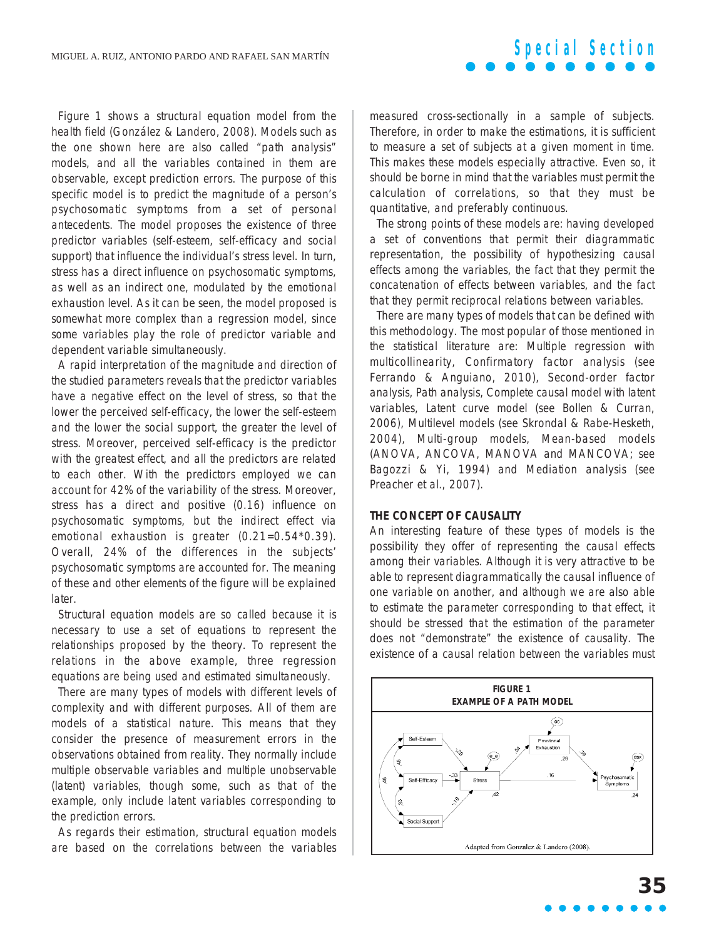Figure 1 shows a structural equation model from the health field (González & Landero, 2008). Models such as the one shown here are also called "path analysis" models, and all the variables contained in them are observable, except prediction errors. The purpose of this specific model is to predict the magnitude of a person's psychosomatic symptoms from a set of personal antecedents. The model proposes the existence of three predictor variables (self-esteem, self-efficacy and social support) that influence the individual's stress level. In turn, stress has a direct influence on psychosomatic symptoms, as well as an indirect one, modulated by the emotional exhaustion level. As it can be seen, the model proposed is somewhat more complex than a regression model, since some variables play the role of predictor variable and dependent variable simultaneously.

A rapid interpretation of the magnitude and direction of the studied parameters reveals that the predictor variables have a negative effect on the level of stress, so that the lower the perceived self-efficacy, the lower the self-esteem and the lower the social support, the greater the level of stress. Moreover, perceived self-efficacy is the predictor with the greatest effect, and all the predictors are related to each other. With the predictors employed we can account for 42% of the variability of the stress. Moreover, stress has a direct and positive (0.16) influence on psychosomatic symptoms, but the indirect effect via emotional exhaustion is greater (0.21=0.54\*0.39). Overall, 24% of the differences in the subjects' psychosomatic symptoms are accounted for. The meaning of these and other elements of the figure will be explained later.

Structural equation models are so called because it is necessary to use a set of equations to represent the relationships proposed by the theory. To represent the relations in the above example, three regression equations are being used and estimated simultaneously.

There are many types of models with different levels of complexity and with different purposes. All of them are models of a statistical nature. This means that they consider the presence of measurement errors in the observations obtained from reality. They normally include multiple observable variables and multiple unobservable (latent) variables, though some, such as that of the example, only include latent variables corresponding to the prediction errors.

As regards their estimation, structural equation models are based on the correlations between the variables

measured cross-sectionally in a sample of subjects. Therefore, in order to make the estimations, it is sufficient to measure a set of subjects at a given moment in time. This makes these models especially attractive. Even so, it should be borne in mind that the variables must permit the calculation of correlations, so that they must be quantitative, and preferably continuous.

**Special Section**

The strong points of these models are: having developed a set of conventions that permit their diagrammatic representation, the possibility of hypothesizing causal effects among the variables, the fact that they permit the concatenation of effects between variables, and the fact that they permit reciprocal relations between variables.

There are many types of models that can be defined with this methodology. The most popular of those mentioned in the statistical literature are: Multiple regression with multicollinearity, Confirmatory factor analysis (see Ferrando & Anguiano, 2010), Second-order factor analysis, Path analysis, Complete causal model with latent variables, Latent curve model (see Bollen & Curran, 2006), Multilevel models (see Skrondal & Rabe-Hesketh, 2004), Multi-group models, Mean-based models (ANOVA, ANCOVA, MANOVA and MANCOVA; see Bagozzi & Yi, 1994) and Mediation analysis (see Preacher et al., 2007).

#### **THE CONCEPT OF CAUSALITY**

An interesting feature of these types of models is the possibility they offer of representing the causal effects among their variables. Although it is very attractive to be able to represent diagrammatically the causal influence of one variable on another, and although we are also able to estimate the parameter corresponding to that effect, it should be stressed that the estimation of the parameter does not "demonstrate" the existence of causality. The existence of a causal relation between the variables must

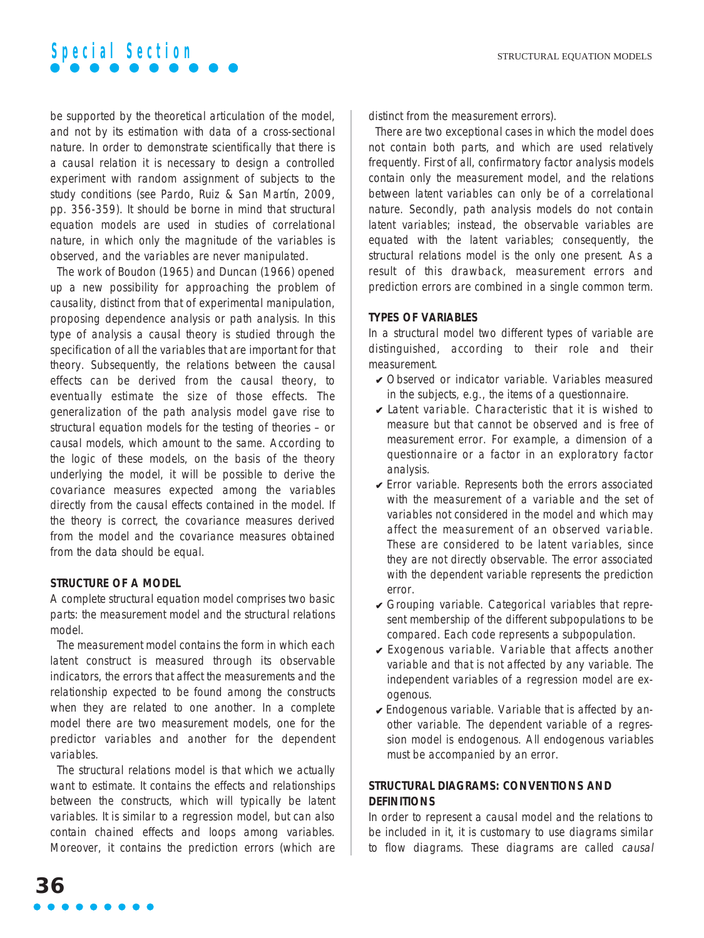be supported by the theoretical articulation of the model, and not by its estimation with data of a cross-sectional nature. In order to demonstrate scientifically that there is a causal relation it is necessary to design a controlled experiment with random assignment of subjects to the study conditions (see Pardo, Ruiz & San Martín, 2009, pp. 356-359). It should be borne in mind that structural equation models are used in studies of correlational nature, in which only the magnitude of the variables is observed, and the variables are never manipulated.

The work of Boudon (1965) and Duncan (1966) opened up a new possibility for approaching the problem of causality, distinct from that of experimental manipulation, proposing dependence analysis or path analysis. In this type of analysis a causal theory is studied through the specification of all the variables that are important for that theory. Subsequently, the relations between the causal effects can be derived from the causal theory, to eventually estimate the size of those effects. The generalization of the path analysis model gave rise to structural equation models for the testing of theories – or causal models, which amount to the same. According to the logic of these models, on the basis of the theory underlying the model, it will be possible to derive the covariance measures expected among the variables directly from the causal effects contained in the model. If the theory is correct, the covariance measures derived from the model and the covariance measures obtained from the data should be equal.

# **STRUCTURE OF A MODEL**

A complete structural equation model comprises two basic parts: the measurement model and the structural relations model.

The measurement model contains the form in which each latent construct is measured through its observable indicators, the errors that affect the measurements and the relationship expected to be found among the constructs when they are related to one another. In a complete model there are two measurement models, one for the predictor variables and another for the dependent variables.

The structural relations model is that which we actually want to estimate. It contains the effects and relationships between the constructs, which will typically be latent variables. It is similar to a regression model, but can also contain chained effects and loops among variables. Moreover, it contains the prediction errors (which are distinct from the measurement errors).

There are two exceptional cases in which the model does not contain both parts, and which are used relatively frequently. First of all, confirmatory factor analysis models contain only the measurement model, and the relations between latent variables can only be of a correlational nature. Secondly, path analysis models do not contain latent variables; instead, the observable variables are equated with the latent variables; consequently, the structural relations model is the only one present. As a result of this drawback, measurement errors and prediction errors are combined in a single common term.

### **TYPES OF VARIABLES**

In a structural model two different types of variable are distinguished, according to their role and their measurement.

- ✔ Observed or indicator variable. Variables measured in the subjects, e.g., the items of a questionnaire.
- $\triangleright$  Latent variable. Characteristic that it is wished to measure but that cannot be observed and is free of measurement error. For example, a dimension of a questionnaire or a factor in an exploratory factor analysis.
- ✔ Error variable. Represents both the errors associated with the measurement of a variable and the set of variables not considered in the model and which may affect the measurement of an observed variable. These are considered to be latent variables, since they are not directly observable. The error associated with the dependent variable represents the prediction error.
- $\vee$  Grouping variable. Categorical variables that represent membership of the different subpopulations to be compared. Each code represents a subpopulation.
- $\vee$  Exogenous variable. Variable that affects another variable and that is not affected by any variable. The independent variables of a regression model are exogenous.
- $\overline{\mathsf{y}}$  Endogenous variable. Variable that is affected by another variable. The dependent variable of a regression model is endogenous. All endogenous variables must be accompanied by an error.

# **STRUCTURAL DIAGRAMS: CONVENTIONS AND DEFINITIONS**

In order to represent a causal model and the relations to be included in it, it is customary to use diagrams similar to flow diagrams. These diagrams are called causal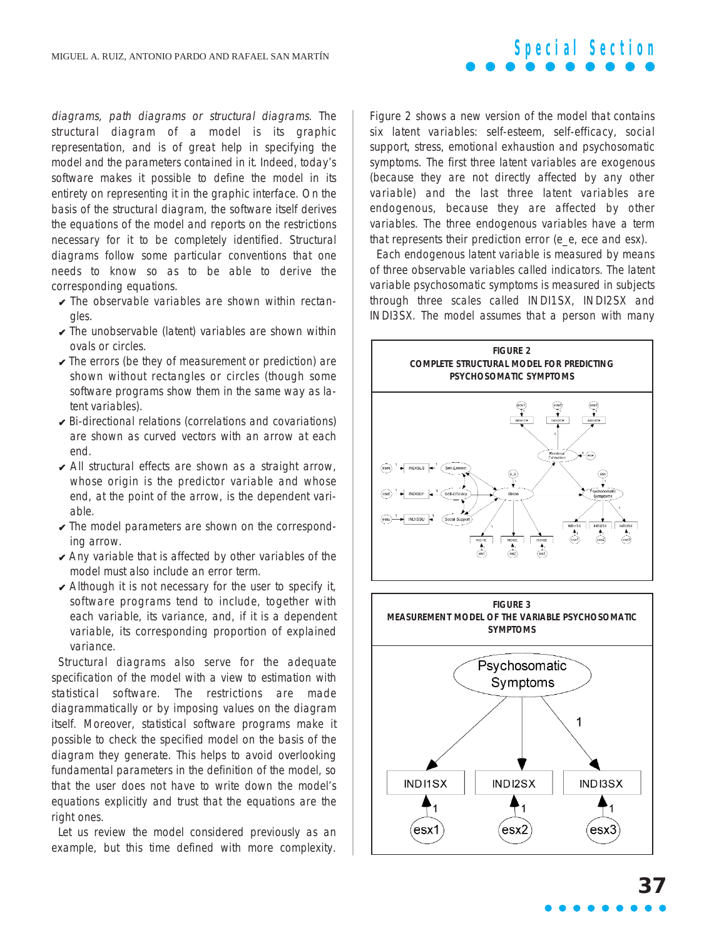diagrams, path diagrams or structural diagrams. The structural diagram of a model is its graphic representation, and is of great help in specifying the model and the parameters contained in it. Indeed, today's software makes it possible to define the model in its entirety on representing it in the graphic interface. On the basis of the structural diagram, the software itself derives the equations of the model and reports on the restrictions necessary for it to be completely identified. Structural diagrams follow some particular conventions that one needs to know so as to be able to derive the corresponding equations.

- $\triangleright$  The observable variables are shown within rectangles.
- $\vee$  The unobservable (latent) variables are shown within ovals or circles.
- $\checkmark$  The errors (be they of measurement or prediction) are shown without rectangles or circles (though some software programs show them in the same way as latent variables).
- $\vee$  Bi-directional relations (correlations and covariations) are shown as curved vectors with an arrow at each end.
- $\vee$  All structural effects are shown as a straight arrow, whose origin is the predictor variable and whose end, at the point of the arrow, is the dependent variable.
- $\vee$  The model parameters are shown on the corresponding arrow.
- $\vee$  Any variable that is affected by other variables of the model must also include an error term.
- $\vee$  Although it is not necessary for the user to specify it, software programs tend to include, together with each variable, its variance, and, if it is a dependent variable, its corresponding proportion of explained variance.

Structural diagrams also serve for the adequate specification of the model with a view to estimation with statistical software. The restrictions are made diagrammatically or by imposing values on the diagram itself. Moreover, statistical software programs make it possible to check the specified model on the basis of the diagram they generate. This helps to avoid overlooking fundamental parameters in the definition of the model, so that the user does not have to write down the model's equations explicitly and trust that the equations are the right ones.

Let us review the model considered previously as an example, but this time defined with more complexity.

Figure 2 shows a new version of the model that contains six latent variables: self-esteem, self-efficacy, social support, stress, emotional exhaustion and psychosomatic symptoms. The first three latent variables are exogenous (because they are not directly affected by any other variable) and the last three latent variables are endogenous, because they are affected by other variables. The three endogenous variables have a term that represents their prediction error (e\_e, ece and esx).

**Special Section**

Each endogenous latent variable is measured by means of three observable variables called indicators. The latent variable psychosomatic symptoms is measured in subjects through three scales called INDI1SX, INDI2SX and INDI3SX. The model assumes that a person with many

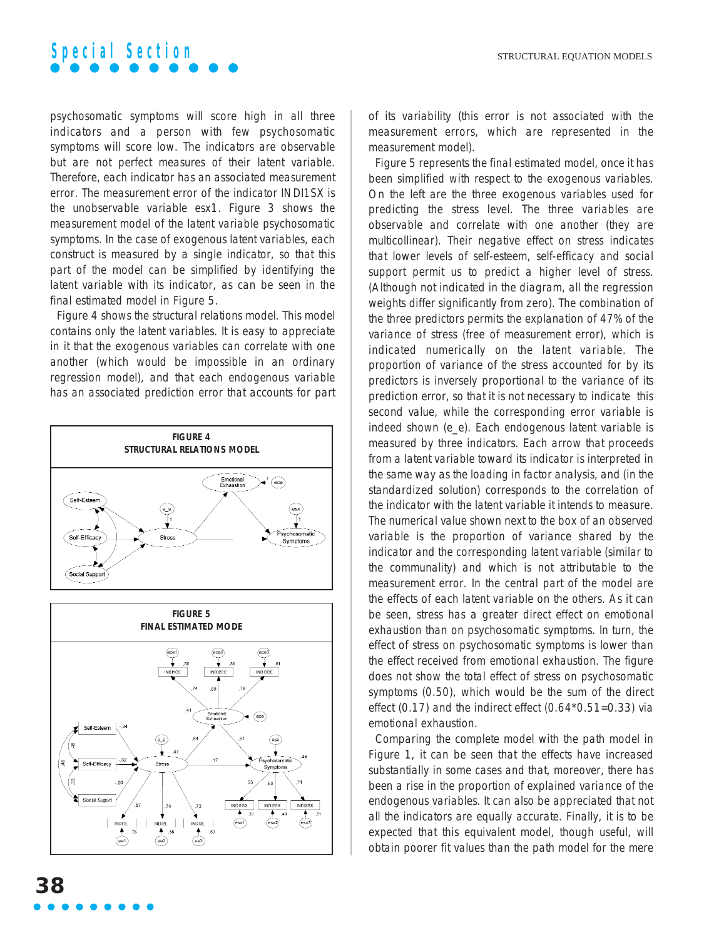

psychosomatic symptoms will score high in all three indicators and a person with few psychosomatic symptoms will score low. The indicators are observable but are not perfect measures of their latent variable. Therefore, each indicator has an associated measurement error. The measurement error of the indicator INDI1SX is the unobservable variable esx1. Figure 3 shows the measurement model of the latent variable psychosomatic symptoms. In the case of exogenous latent variables, each construct is measured by a single indicator, so that this part of the model can be simplified by identifying the latent variable with its indicator, as can be seen in the final estimated model in Figure 5.

Figure 4 shows the structural relations model. This model contains only the latent variables. It is easy to appreciate in it that the exogenous variables can correlate with one another (which would be impossible in an ordinary regression model), and that each endogenous variable has an associated prediction error that accounts for part



of its variability (this error is not associated with the measurement errors, which are represented in the measurement model).

Figure 5 represents the final estimated model, once it has been simplified with respect to the exogenous variables. On the left are the three exogenous variables used for predicting the stress level. The three variables are observable and correlate with one another (they are multicollinear). Their negative effect on stress indicates that lower levels of self-esteem, self-efficacy and social support permit us to predict a higher level of stress. (Although not indicated in the diagram, all the regression weights differ significantly from zero). The combination of the three predictors permits the explanation of 47% of the variance of stress (free of measurement error), which is indicated numerically on the latent variable. The proportion of variance of the stress accounted for by its predictors is inversely proportional to the variance of its prediction error, so that it is not necessary to indicate this second value, while the corresponding error variable is indeed shown (e\_e). Each endogenous latent variable is measured by three indicators. Each arrow that proceeds from a latent variable toward its indicator is interpreted in the same way as the loading in factor analysis, and (in the standardized solution) corresponds to the correlation of the indicator with the latent variable it intends to measure. The numerical value shown next to the box of an observed variable is the proportion of variance shared by the indicator and the corresponding latent variable (similar to the communality) and which is not attributable to the measurement error. In the central part of the model are the effects of each latent variable on the others. As it can be seen, stress has a greater direct effect on emotional exhaustion than on psychosomatic symptoms. In turn, the effect of stress on psychosomatic symptoms is lower than the effect received from emotional exhaustion. The figure does not show the total effect of stress on psychosomatic symptoms (0.50), which would be the sum of the direct effect (0.17) and the indirect effect (0.64\*0.51=0.33) via emotional exhaustion.

Comparing the complete model with the path model in Figure 1, it can be seen that the effects have increased substantially in some cases and that, moreover, there has been a rise in the proportion of explained variance of the endogenous variables. It can also be appreciated that not all the indicators are equally accurate. Finally, it is to be expected that this equivalent model, though useful, will obtain poorer fit values than the path model for the mere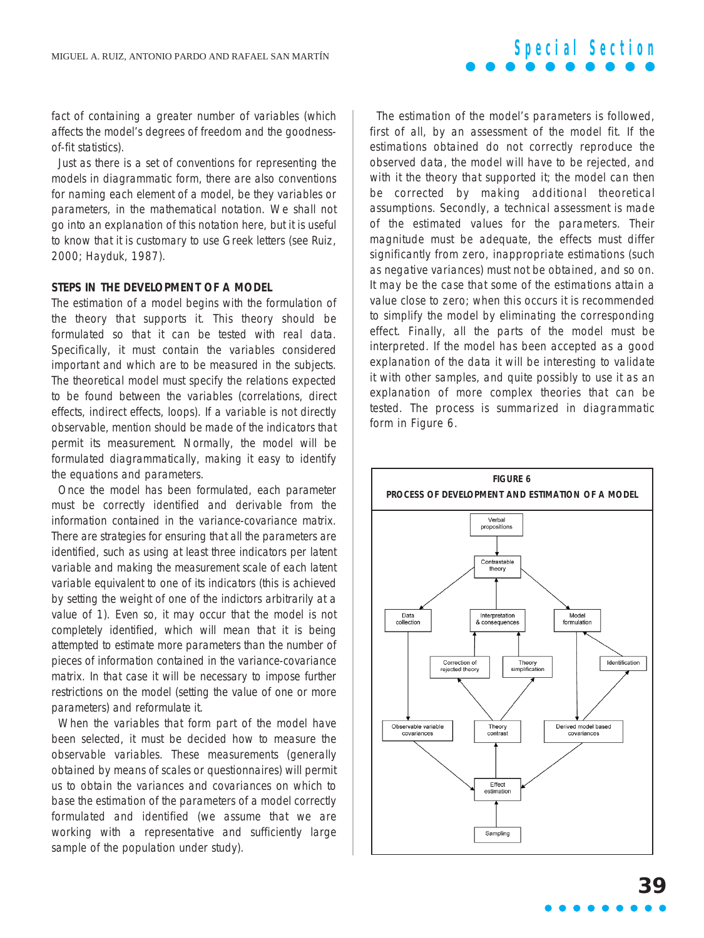fact of containing a greater number of variables (which affects the model's degrees of freedom and the goodnessof-fit statistics).

Just as there is a set of conventions for representing the models in diagrammatic form, there are also conventions for naming each element of a model, be they variables or parameters, in the mathematical notation. We shall not go into an explanation of this notation here, but it is useful to know that it is customary to use Greek letters (see Ruiz, 2000; Hayduk, 1987).

#### **STEPS IN THE DEVELOPMENT OF A MODEL**

The estimation of a model begins with the formulation of the theory that supports it. This theory should be formulated so that it can be tested with real data. Specifically, it must contain the variables considered important and which are to be measured in the subjects. The theoretical model must specify the relations expected to be found between the variables (correlations, direct effects, indirect effects, loops). If a variable is not directly observable, mention should be made of the indicators that permit its measurement. Normally, the model will be formulated diagrammatically, making it easy to identify the equations and parameters.

Once the model has been formulated, each parameter must be correctly identified and derivable from the information contained in the variance-covariance matrix. There are strategies for ensuring that all the parameters are identified, such as using at least three indicators per latent variable and making the measurement scale of each latent variable equivalent to one of its indicators (this is achieved by setting the weight of one of the indictors arbitrarily at a value of 1). Even so, it may occur that the model is not completely identified, which will mean that it is being attempted to estimate more parameters than the number of pieces of information contained in the variance-covariance matrix. In that case it will be necessary to impose further restrictions on the model (setting the value of one or more parameters) and reformulate it.

When the variables that form part of the model have been selected, it must be decided how to measure the observable variables. These measurements (generally obtained by means of scales or questionnaires) will permit us to obtain the variances and covariances on which to base the estimation of the parameters of a model correctly formulated and identified (we assume that we are working with a representative and sufficiently large sample of the population under study).

The estimation of the model's parameters is followed, first of all, by an assessment of the model fit. If the estimations obtained do not correctly reproduce the observed data, the model will have to be rejected, and with it the theory that supported it; the model can then be corrected by making additional theoretical assumptions. Secondly, a technical assessment is made of the estimated values for the parameters. Their magnitude must be adequate, the effects must differ significantly from zero, inappropriate estimations (such as negative variances) must not be obtained, and so on. It may be the case that some of the estimations attain a value close to zero; when this occurs it is recommended to simplify the model by eliminating the corresponding effect. Finally, all the parts of the model must be interpreted. If the model has been accepted as a good explanation of the data it will be interesting to validate it with other samples, and quite possibly to use it as an explanation of more complex theories that can be tested. The process is summarized in diagrammatic form in Figure 6.

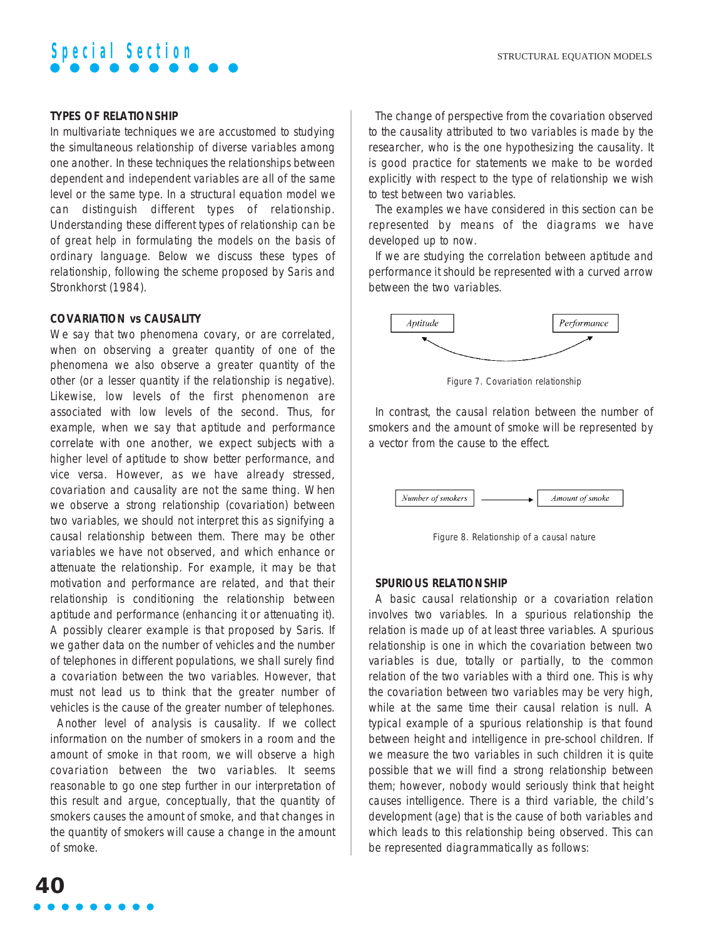### **TYPES OF RELATIONSHIP**

In multivariate techniques we are accustomed to studying the simultaneous relationship of diverse variables among one another. In these techniques the relationships between dependent and independent variables are all of the same level or the same type. In a structural equation model we can distinguish different types of relationship. Understanding these different types of relationship can be of great help in formulating the models on the basis of ordinary language. Below we discuss these types of relationship, following the scheme proposed by Saris and Stronkhorst (1984).

#### **COVARIATION vs CAUSALITY**

We say that two phenomena covary, or are correlated, when on observing a greater quantity of one of the phenomena we also observe a greater quantity of the other (or a lesser quantity if the relationship is negative). Likewise, low levels of the first phenomenon are associated with low levels of the second. Thus, for example, when we say that aptitude and performance correlate with one another, we expect subjects with a higher level of aptitude to show better performance, and vice versa. However, as we have already stressed, covariation and causality are not the same thing. When we observe a strong relationship (covariation) between two variables, we should not interpret this as signifying a causal relationship between them. There may be other variables we have not observed, and which enhance or attenuate the relationship. For example, it may be that motivation and performance are related, and that their relationship is conditioning the relationship between aptitude and performance (enhancing it or attenuating it). A possibly clearer example is that proposed by Saris. If we gather data on the number of vehicles and the number of telephones in different populations, we shall surely find a covariation between the two variables. However, that must not lead us to think that the greater number of vehicles is the cause of the greater number of telephones.

Another level of analysis is causality. If we collect information on the number of smokers in a room and the amount of smoke in that room, we will observe a high covariation between the two variables. It seems reasonable to go one step further in our interpretation of this result and argue, conceptually, that the quantity of smokers causes the amount of smoke, and that changes in the quantity of smokers will cause a change in the amount of smoke.

The change of perspective from the covariation observed to the causality attributed to two variables is made by the researcher, who is the one hypothesizing the causality. It is good practice for statements we make to be worded explicitly with respect to the type of relationship we wish to test between two variables.

The examples we have considered in this section can be represented by means of the diagrams we have developed up to now.

If we are studying the correlation between aptitude and performance it should be represented with a curved arrow between the two variables.



Figure 7. Covariation relationship

In contrast, the causal relation between the number of smokers and the amount of smoke will be represented by a vector from the cause to the effect.



Figure 8. Relationship of a causal nature

#### **SPURIOUS RELATIONSHIP**

A basic causal relationship or a covariation relation involves two variables. In a spurious relationship the relation is made up of at least three variables. A spurious relationship is one in which the covariation between two variables is due, totally or partially, to the common relation of the two variables with a third one. This is why the covariation between two variables may be very high, while at the same time their causal relation is null. A typical example of a spurious relationship is that found between height and intelligence in pre-school children. If we measure the two variables in such children it is quite possible that we will find a strong relationship between them; however, nobody would seriously think that height causes intelligence. There is a third variable, the child's development (age) that is the cause of both variables and which leads to this relationship being observed. This can be represented diagrammatically as follows: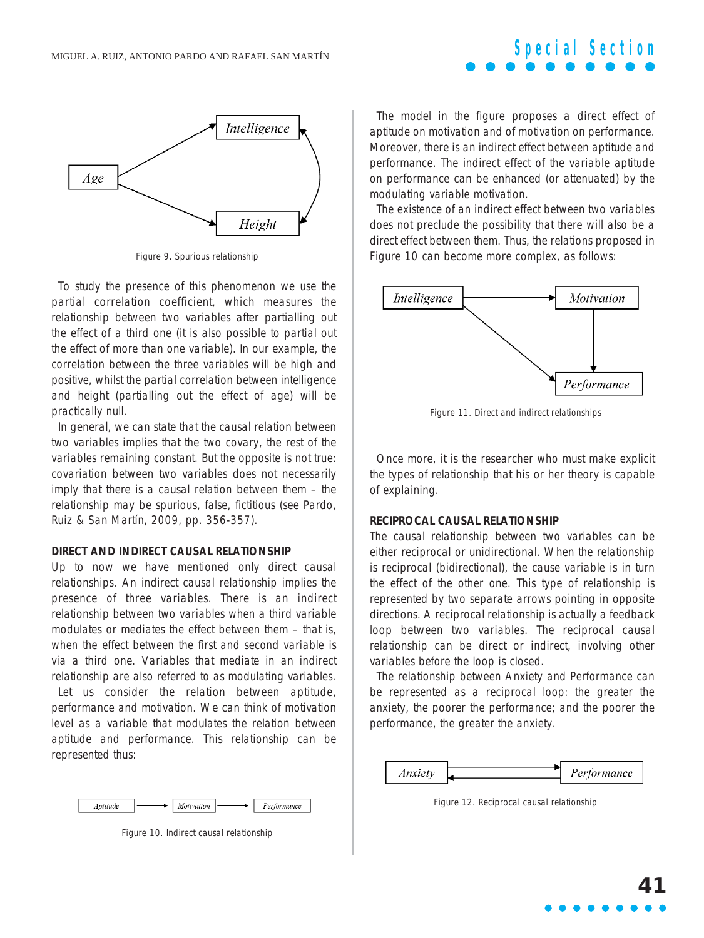

Figure 9. Spurious relationship

To study the presence of this phenomenon we use the partial correlation coefficient, which measures the relationship between two variables after partialling out the effect of a third one (it is also possible to partial out the effect of more than one variable). In our example, the correlation between the three variables will be high and positive, whilst the partial correlation between intelligence and height (partialling out the effect of age) will be practically null.

In general, we can state that the causal relation between two variables implies that the two covary, the rest of the variables remaining constant. But the opposite is not true: covariation between two variables does not necessarily imply that there is a causal relation between them – the relationship may be spurious, false, fictitious (see Pardo, Ruiz & San Martín, 2009, pp. 356-357).

#### **DIRECT AND INDIRECT CAUSAL RELATIONSHIP**

Up to now we have mentioned only direct causal relationships. An indirect causal relationship implies the presence of three variables. There is an indirect relationship between two variables when a third variable modulates or mediates the effect between them – that is, when the effect between the first and second variable is via a third one. Variables that mediate in an indirect relationship are also referred to as modulating variables.

Let us consider the relation between aptitude, performance and motivation. We can think of motivation level as a variable that modulates the relation between aptitude and performance. This relationship can be represented thus:



Figure 10. Indirect causal relationship

The model in the figure proposes a direct effect of aptitude on motivation and of motivation on performance. Moreover, there is an indirect effect between aptitude and performance. The indirect effect of the variable aptitude on performance can be enhanced (or attenuated) by the modulating variable motivation.

**Special Section**

The existence of an indirect effect between two variables does not preclude the possibility that there will also be a direct effect between them. Thus, the relations proposed in Figure 10 can become more complex, as follows:



Figure 11. Direct and indirect relationships

Once more, it is the researcher who must make explicit the types of relationship that his or her theory is capable of explaining.

#### **RECIPROCAL CAUSAL RELATIONSHIP**

The causal relationship between two variables can be either reciprocal or unidirectional. When the relationship is reciprocal (bidirectional), the cause variable is in turn the effect of the other one. This type of relationship is represented by two separate arrows pointing in opposite directions. A reciprocal relationship is actually a feedback loop between two variables. The reciprocal causal relationship can be direct or indirect, involving other variables before the loop is closed.

The relationship between Anxiety and Performance can be represented as a reciprocal loop: the greater the anxiety, the poorer the performance; and the poorer the performance, the greater the anxiety.



Figure 12. Reciprocal causal relationship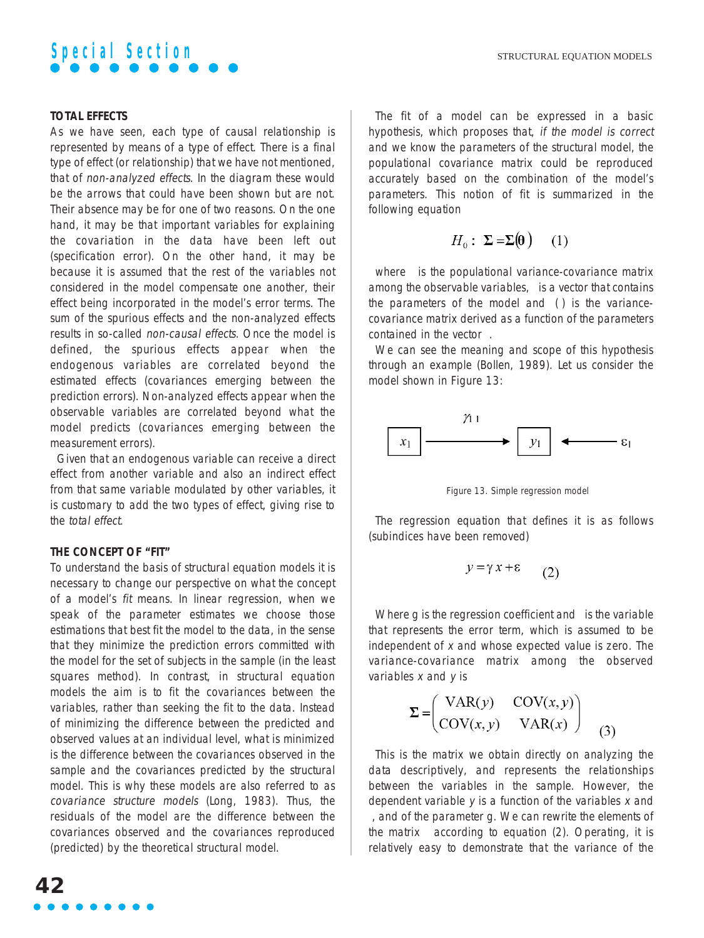

### **TOTAL EFFECTS**

As we have seen, each type of causal relationship is represented by means of a type of effect. There is a final type of effect (or relationship) that we have not mentioned, that of non-analyzed effects. In the diagram these would be the arrows that could have been shown but are not. Their absence may be for one of two reasons. On the one hand, it may be that important variables for explaining the covariation in the data have been left out (specification error). On the other hand, it may be because it is assumed that the rest of the variables not considered in the model compensate one another, their effect being incorporated in the model's error terms. The sum of the spurious effects and the non-analyzed effects results in so-called non-causal effects. Once the model is defined, the spurious effects appear when the endogenous variables are correlated beyond the estimated effects (covariances emerging between the prediction errors). Non-analyzed effects appear when the observable variables are correlated beyond what the model predicts (covariances emerging between the measurement errors).

Given that an endogenous variable can receive a direct effect from another variable and also an indirect effect from that same variable modulated by other variables, it is customary to add the two types of effect, giving rise to the total effect.

# **THE CONCEPT OF "FIT"**

To understand the basis of structural equation models it is necessary to change our perspective on what the concept of a model's fit means. In linear regression, when we speak of the parameter estimates we choose those estimations that best fit the model to the data, in the sense that they minimize the prediction errors committed with the model for the set of subjects in the sample (in the least squares method). In contrast, in structural equation models the aim is to fit the covariances between the variables, rather than seeking the fit to the data. Instead of minimizing the difference between the predicted and observed values at an individual level, what is minimized is the difference between the covariances observed in the sample and the covariances predicted by the structural model. This is why these models are also referred to as covariance structure models (Long, 1983). Thus, the residuals of the model are the difference between the covariances observed and the covariances reproduced (predicted) by the theoretical structural model.

The fit of a model can be expressed in a basic hypothesis, which proposes that, if the model is correct and we know the parameters of the structural model, the populational covariance matrix could be reproduced accurately based on the combination of the model's parameters. This notion of fit is summarized in the following equation

$$
H_0: \ \Sigma = \Sigma(\mathbf{\Theta}) \tag{1}
$$

where is the populational variance-covariance matrix among the observable variables, is a vector that contains the parameters of the model and ( ) is the variancecovariance matrix derived as a function of the parameters contained in the vector .

We can see the meaning and scope of this hypothesis through an example (Bollen, 1989). Let us consider the model shown in Figure 13:



Figure 13. Simple regression model

The regression equation that defines it is as follows (subindices have been removed)

$$
y = \gamma x + \varepsilon \qquad (2)
$$

Where g is the regression coefficient and is the variable that represents the error term, which is assumed to be independent of x and whose expected value is zero. The variance-covariance matrix among the observed variables  $x$  and  $y$  is

$$
\Sigma = \begin{pmatrix} \text{VAR}(y) & \text{COV}(x, y) \\ \text{COV}(x, y) & \text{VAR}(x) \end{pmatrix} \tag{3}
$$

This is the matrix we obtain directly on analyzing the data descriptively, and represents the relationships between the variables in the sample. However, the dependent variable  $y$  is a function of the variables  $x$  and , and of the parameter g. We can rewrite the elements of the matrix according to equation (2). Operating, it is relatively easy to demonstrate that the variance of the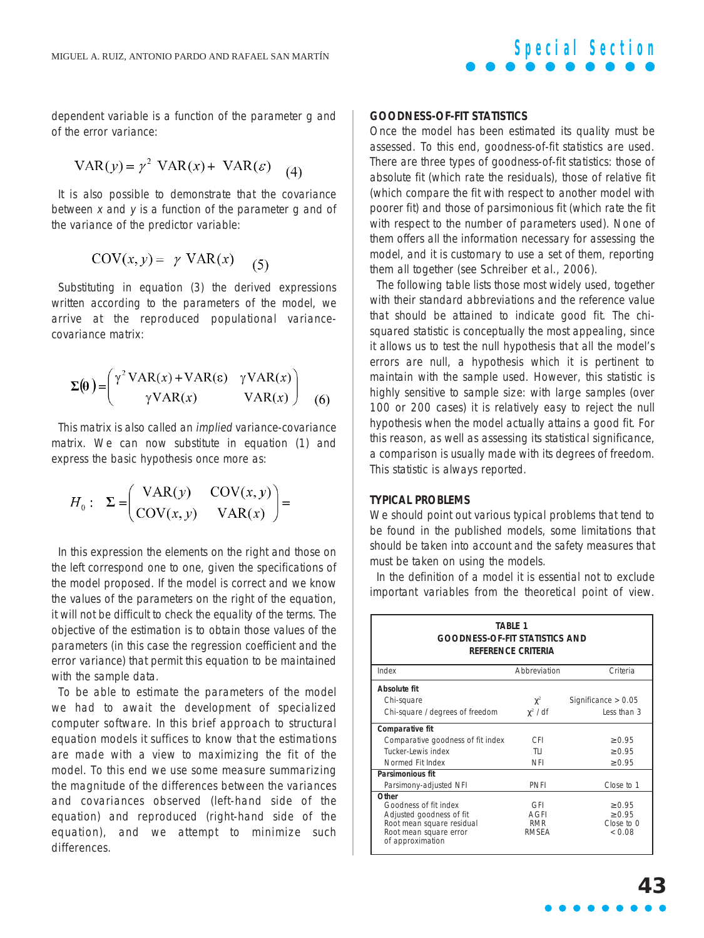dependent variable is a function of the parameter g and of the error variance:

$$
VAR(y) = \gamma^2 \text{ VAR}(x) + \text{VAR}(\varepsilon) \quad (4)
$$

It is also possible to demonstrate that the covariance between  $x$  and  $y$  is a function of the parameter  $\alpha$  and of the variance of the predictor variable:

$$
COV(x, y) = \gamma \text{ VAR}(x) \quad (5)
$$

Substituting in equation (3) the derived expressions written according to the parameters of the model, we arrive at the reproduced populational variancecovariance matrix:

$$
\Sigma(\theta) = \begin{pmatrix} \gamma^2 \text{VAR}(x) + \text{VAR}(\epsilon) & \gamma \text{VAR}(x) \\ \gamma \text{VAR}(x) & \text{VAR}(x) \end{pmatrix}
$$
 (6)

This matrix is also called an implied variance-covariance matrix. We can now substitute in equation (1) and express the basic hypothesis once more as:

$$
H_0: \Sigma = \begin{pmatrix} \text{VAR}(y) & \text{COV}(x, y) \\ \text{COV}(x, y) & \text{VAR}(x) \end{pmatrix} =
$$

In this expression the elements on the right and those on the left correspond one to one, given the specifications of the model proposed. If the model is correct and we know the values of the parameters on the right of the equation, it will not be difficult to check the equality of the terms. The objective of the estimation is to obtain those values of the parameters (in this case the regression coefficient and the error variance) that permit this equation to be maintained with the sample data.

To be able to estimate the parameters of the model we had to await the development of specialized computer software. In this brief approach to structural equation models it suffices to know that the estimations are made with a view to maximizing the fit of the model. To this end we use some measure summarizing the magnitude of the differences between the variances and covariances observed (left-hand side of the equation) and reproduced (right-hand side of the equation), and we attempt to minimize such differences.

#### **GOODNESS-OF-FIT STATISTICS**

Once the model has been estimated its quality must be assessed. To this end, goodness-of-fit statistics are used. There are three types of goodness-of-fit statistics: those of absolute fit (which rate the residuals), those of relative fit (which compare the fit with respect to another model with poorer fit) and those of parsimonious fit (which rate the fit with respect to the number of parameters used). None of them offers all the information necessary for assessing the model, and it is customary to use a set of them, reporting them all together (see Schreiber et al., 2006).

The following table lists those most widely used, together with their standard abbreviations and the reference value that should be attained to indicate good fit. The chisquared statistic is conceptually the most appealing, since it allows us to test the null hypothesis that all the model's errors are null, a hypothesis which it is pertinent to maintain with the sample used. However, this statistic is highly sensitive to sample size: with large samples (over 100 or 200 cases) it is relatively easy to reject the null hypothesis when the model actually attains a good fit. For this reason, as well as assessing its statistical significance, a comparison is usually made with its degrees of freedom. This statistic is always reported.

# **TYPICAL PROBLEMS**

We should point out various typical problems that tend to be found in the published models, some limitations that should be taken into account and the safety measures that must be taken on using the models.

In the definition of a model it is essential not to exclude important variables from the theoretical point of view.

| <b>TABLE 1</b><br><b>GOODNESS-OF-FIT STATISTICS AND</b><br>REFERENCE CRITERIA                                                         |                                    |                                               |
|---------------------------------------------------------------------------------------------------------------------------------------|------------------------------------|-----------------------------------------------|
| Index                                                                                                                                 | Abbreviation                       | Criteria                                      |
| Absolute fit                                                                                                                          |                                    |                                               |
| Chi-square                                                                                                                            | $\chi^2$                           | Significance $> 0.05$                         |
| Chi-square / degrees of freedom                                                                                                       | $\gamma^2$ /df                     | Less than 3                                   |
| Comparative fit                                                                                                                       |                                    |                                               |
| Comparative goodness of fit index                                                                                                     | CFI.                               | > 0.95                                        |
| Tucker-Lewis index                                                                                                                    | TI I                               | > 0.95                                        |
| Normed Fit Index                                                                                                                      | <b>NFI</b>                         | $\geq 0.95$                                   |
| Parsimonious fit                                                                                                                      |                                    |                                               |
| Parsimony-adjusted NFI                                                                                                                | <b>PNFI</b>                        | Close to 1                                    |
| Other<br>Goodness of fit index<br>Adjusted goodness of fit<br>Root mean square residual<br>Root mean square error<br>of approximation | GFI<br>AGFI<br><b>RMR</b><br>RMSEA | > 0.95<br>$\geq 0.95$<br>Close to 0<br>& 0.08 |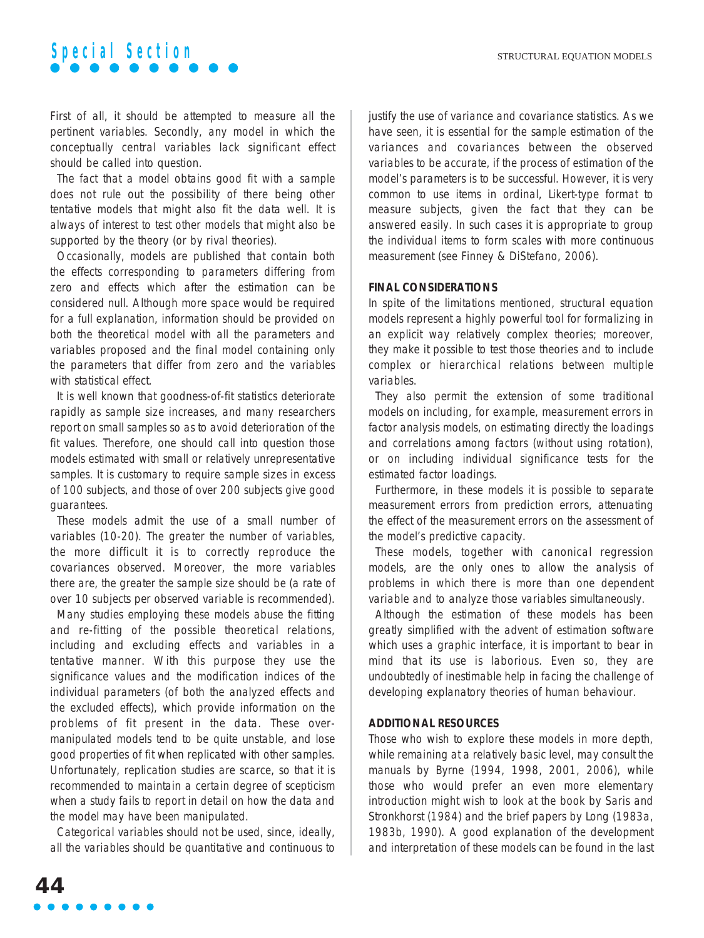First of all, it should be attempted to measure all the pertinent variables. Secondly, any model in which the conceptually central variables lack significant effect should be called into question.

The fact that a model obtains good fit with a sample does not rule out the possibility of there being other tentative models that might also fit the data well. It is always of interest to test other models that might also be supported by the theory (or by rival theories).

Occasionally, models are published that contain both the effects corresponding to parameters differing from zero and effects which after the estimation can be considered null. Although more space would be required for a full explanation, information should be provided on both the theoretical model with all the parameters and variables proposed and the final model containing only the parameters that differ from zero and the variables with statistical effect.

It is well known that goodness-of-fit statistics deteriorate rapidly as sample size increases, and many researchers report on small samples so as to avoid deterioration of the fit values. Therefore, one should call into question those models estimated with small or relatively unrepresentative samples. It is customary to require sample sizes in excess of 100 subjects, and those of over 200 subjects give good guarantees.

These models admit the use of a small number of variables (10-20). The greater the number of variables, the more difficult it is to correctly reproduce the covariances observed. Moreover, the more variables there are, the greater the sample size should be (a rate of over 10 subjects per observed variable is recommended).

Many studies employing these models abuse the fitting and re-fitting of the possible theoretical relations, including and excluding effects and variables in a tentative manner. With this purpose they use the significance values and the modification indices of the individual parameters (of both the analyzed effects and the excluded effects), which provide information on the problems of fit present in the data. These overmanipulated models tend to be quite unstable, and lose good properties of fit when replicated with other samples. Unfortunately, replication studies are scarce, so that it is recommended to maintain a certain degree of scepticism when a study fails to report in detail on how the data and the model may have been manipulated.

Categorical variables should not be used, since, ideally, all the variables should be quantitative and continuous to justify the use of variance and covariance statistics. As we have seen, it is essential for the sample estimation of the variances and covariances between the observed variables to be accurate, if the process of estimation of the model's parameters is to be successful. However, it is very common to use items in ordinal, Likert-type format to measure subjects, given the fact that they can be answered easily. In such cases it is appropriate to group the individual items to form scales with more continuous measurement (see Finney & DiStefano, 2006).

#### **FINAL CONSIDERATIONS**

In spite of the limitations mentioned, structural equation models represent a highly powerful tool for formalizing in an explicit way relatively complex theories; moreover, they make it possible to test those theories and to include complex or hierarchical relations between multiple variables.

They also permit the extension of some traditional models on including, for example, measurement errors in factor analysis models, on estimating directly the loadings and correlations among factors (without using rotation), or on including individual significance tests for the estimated factor loadings.

Furthermore, in these models it is possible to separate measurement errors from prediction errors, attenuating the effect of the measurement errors on the assessment of the model's predictive capacity.

These models, together with canonical regression models, are the only ones to allow the analysis of problems in which there is more than one dependent variable and to analyze those variables simultaneously.

Although the estimation of these models has been greatly simplified with the advent of estimation software which uses a graphic interface, it is important to bear in mind that its use is laborious. Even so, they are undoubtedly of inestimable help in facing the challenge of developing explanatory theories of human behaviour.

### **ADDITIONAL RESOURCES**

Those who wish to explore these models in more depth, while remaining at a relatively basic level, may consult the manuals by Byrne (1994, 1998, 2001, 2006), while those who would prefer an even more elementary introduction might wish to look at the book by Saris and Stronkhorst (1984) and the brief papers by Long (1983a, 1983b, 1990). A good explanation of the development and interpretation of these models can be found in the last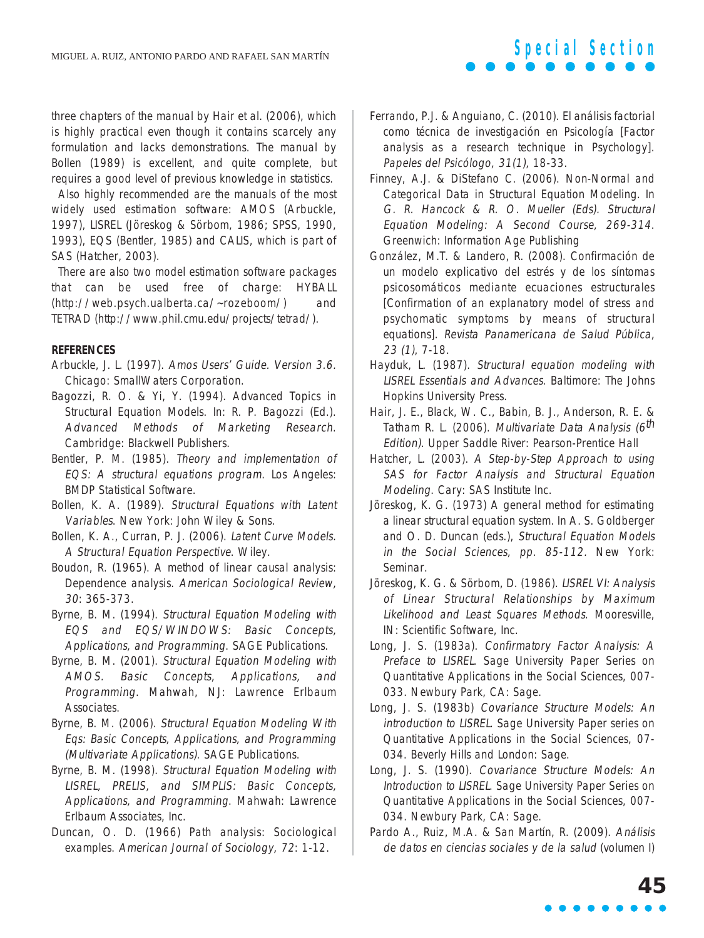three chapters of the manual by Hair et al. (2006), which is highly practical even though it contains scarcely any formulation and lacks demonstrations. The manual by Bollen (1989) is excellent, and quite complete, but requires a good level of previous knowledge in statistics.

Also highly recommended are the manuals of the most widely used estimation software: AMOS (Arbuckle, 1997), LISREL (Jöreskog & Sörbom, 1986; SPSS, 1990, 1993), EQS (Bentler, 1985) and CALIS, which is part of SAS (Hatcher, 2003).

There are also two model estimation software packages that can be used free of charge: HYBALL (http://web.psych.ualberta.ca/~rozeboom/) and TETRAD (http://www.phil.cmu.edu/projects/tetrad/).

### **REFERENCES**

- Arbuckle, J. L. (1997). Amos Users' Guide. Version 3.6. Chicago: SmallWaters Corporation.
- Bagozzi, R. O. & Yi, Y. (1994). Advanced Topics in Structural Equation Models. In: R. P. Bagozzi (Ed.). Advanced Methods of Marketing Research. Cambridge: Blackwell Publishers.
- Bentler, P. M. (1985). Theory and implementation of EQS: A structural equations program. Los Angeles: BMDP Statistical Software.
- Bollen, K. A. (1989). Structural Equations with Latent Variables. New York: John Wiley & Sons.
- Bollen, K. A., Curran, P. J. (2006). Latent Curve Models. A Structural Equation Perspective. Wiley.
- Boudon, R. (1965). A method of linear causal analysis: Dependence analysis. American Sociological Review, 30: 365-373.
- Byrne, B. M. (1994). Structural Equation Modeling with EQS and EQS/WINDOWS: Basic Concepts, Applications, and Programming. SAGE Publications.
- Byrne, B. M. (2001). Structural Equation Modeling with AMOS. Basic Concepts, Applications, and Programming. Mahwah, NJ: Lawrence Erlbaum Associates.
- Byrne, B. M. (2006). Structural Equation Modeling With Eqs: Basic Concepts, Applications, and Programming (Multivariate Applications). SAGE Publications.
- Byrne, B. M. (1998). Structural Equation Modeling with LISREL, PRELIS, and SIMPLIS: Basic Concepts, Applications, and Programming. Mahwah: Lawrence Erlbaum Associates, Inc.
- Duncan, O. D. (1966) Path analysis: Sociological examples. American Journal of Sociology, 72: 1-12.

Ferrando, P.J. & Anguiano, C. (2010). El análisis factorial como técnica de investigación en Psicología [Factor analysis as a research technique in Psychology]. Papeles del Psicólogo, 31(1), 18-33.

**Special Section**

- Finney, A.J. & DiStefano C. (2006). Non-Normal and Categorical Data in Structural Equation Modeling. In G. R. Hancock & R. O. Mueller (Eds). Structural Equation Modeling: A Second Course, 269-314. Greenwich: Information Age Publishing
- González, M.T. & Landero, R. (2008). Confirmación de un modelo explicativo del estrés y de los síntomas psicosomáticos mediante ecuaciones estructurales [Confirmation of an explanatory model of stress and psychomatic symptoms by means of structural equations]. Revista Panamericana de Salud Pública, 23 (1), 7-18.
- Hayduk, L. (1987). Structural equation modeling with LISREL Essentials and Advances. Baltimore: The Johns Hopkins University Press.
- Hair, J. E., Black, W. C., Babin, B. J., Anderson, R. E. & Tatham R. L. (2006). Multivariate Data Analysis (6<sup>th</sup> Edition). Upper Saddle River: Pearson-Prentice Hall
- Hatcher, L. (2003). A Step-by-Step Approach to using SAS for Factor Analysis and Structural Equation Modeling. Cary: SAS Institute Inc.
- Jöreskog, K. G. (1973) A general method for estimating a linear structural equation system. In A. S. Goldberger and O. D. Duncan (eds.), Structural Equation Models in the Social Sciences, pp. 85-112. New York: Seminar.
- Jöreskog, K. G. & Sörbom, D. (1986). LISREL VI: Analysis of Linear Structural Relationships by Maximum Likelihood and Least Squares Methods. Mooresville, IN: Scientific Software, Inc.
- Long, J. S. (1983a). Confirmatory Factor Analysis: A Preface to LISREL. Sage University Paper Series on Quantitative Applications in the Social Sciences, 007- 033. Newbury Park, CA: Sage.
- Long, J. S. (1983b) Covariance Structure Models: An introduction to LISREL. Sage University Paper series on Quantitative Applications in the Social Sciences, 07- 034. Beverly Hills and London: Sage.
- Long, J. S. (1990). Covariance Structure Models: An Introduction to LISREL. Sage University Paper Series on Quantitative Applications in the Social Sciences, 007- 034. Newbury Park, CA: Sage.
- Pardo A., Ruiz, M.A. & San Martín, R. (2009). Análisis de datos en ciencias sociales y de la salud (volumen I)